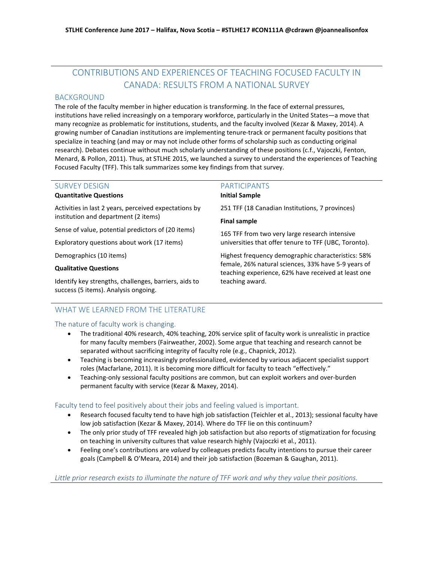# CONTRIBUTIONS AND EXPERIENCES OF TEACHING FOCUSED FACULTY IN CANADA: RESULTS FROM A NATIONAL SURVEY

# BACKGROUND

The role of the faculty member in higher education is transforming. In the face of external pressures, institutions have relied increasingly on a temporary workforce, particularly in the United States—a move that many recognize as problematic for institutions, students, and the faculty involved (Kezar & Maxey, 2014). A growing number of Canadian institutions are implementing tenure-track or permanent faculty positions that specialize in teaching (and may or may not include other forms of scholarship such as conducting original research). Debates continue without much scholarly understanding of these positions (c.f., Vajoczki, Fenton, Menard, & Pollon, 2011). Thus, at STLHE 2015, we launched a survey to understand the experiences of Teaching Focused Faculty (TFF). This talk summarizes some key findings from that survey.

# SURVEY DESIGN

### **Quantitative Questions**

Activities in last 2 years, perceived expectations by institution and department (2 items)

Sense of value, potential predictors of (20 items)

Exploratory questions about work (17 items)

Demographics (10 items)

### **Qualitative Questions**

Identify key strengths, challenges, barriers, aids to success (5 items). Analysis ongoing.

## PARTICIPANTS

### **Initial Sample**

251 TFF (18 Canadian Institutions, 7 provinces)

### **Final sample**

165 TFF from two very large research intensive universities that offer tenure to TFF (UBC, Toronto).

Highest frequency demographic characteristics: 58% female, 26% natural sciences, 33% have 5-9 years of teaching experience, 62% have received at least one teaching award.

# WHAT WE LEARNED FROM THE LITERATURE

### The nature of faculty work is changing.

- The traditional 40% research, 40% teaching, 20% service split of faculty work is unrealistic in practice for many faculty members (Fairweather, 2002). Some argue that teaching and research cannot be separated without sacrificing integrity of faculty role (e.g., Chapnick, 2012).
- Teaching is becoming increasingly professionalized, evidenced by various adjacent specialist support roles (Macfarlane, 2011). It is becoming more difficult for faculty to teach "effectively."
- Teaching-only sessional faculty positions are common, but can exploit workers and over-burden permanent faculty with service (Kezar & Maxey, 2014).

## Faculty tend to feel positively about their jobs and feeling valued is important.

- Research focused faculty tend to have high job satisfaction (Teichler et al., 2013); sessional faculty have low job satisfaction (Kezar & Maxey, 2014). Where do TFF lie on this continuum?
- The only prior study of TFF revealed high job satisfaction but also reports of stigmatization for focusing on teaching in university cultures that value research highly (Vajoczki et al., 2011).
- Feeling one's contributions are *valued* by colleagues predicts faculty intentions to pursue their career goals (Campbell & O'Meara, 2014) and their job satisfaction (Bozeman & Gaughan, 2011).

*Little prior research exists to illuminate the nature of TFF work and why they value their positions.*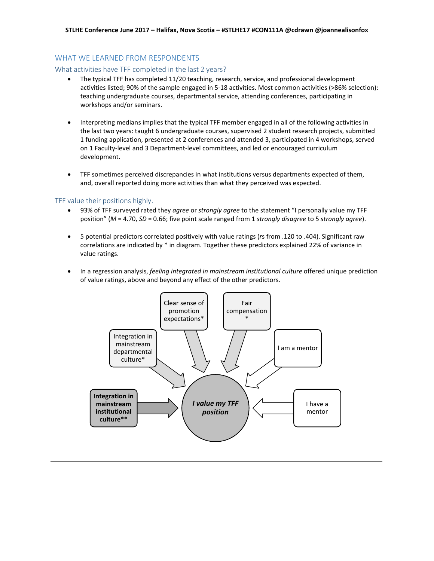# WHAT WE LEARNED FROM RESPONDENTS

### What activities have TFF completed in the last 2 years?

- The typical TFF has completed 11/20 teaching, research, service, and professional development activities listed; 90% of the sample engaged in 5-18 activities. Most common activities (>86% selection): teaching undergraduate courses, departmental service, attending conferences, participating in workshops and/or seminars.
- Interpreting medians implies that the typical TFF member engaged in all of the following activities in the last two years: taught 6 undergraduate courses, supervised 2 student research projects, submitted 1 funding application, presented at 2 conferences and attended 3, participated in 4 workshops, served on 1 Faculty-level and 3 Department-level committees, and led or encouraged curriculum development.
- TFF sometimes perceived discrepancies in what institutions versus departments expected of them, and, overall reported doing more activities than what they perceived was expected.

### TFF value their positions highly.

- 93% of TFF surveyed rated they *agree* or *strongly agree* to the statement "I personally value my TFF position" (*M* = 4.70, *SD* = 0.66; five point scale ranged from 1 *strongly disagree* to 5 *strongly agree*).
- 5 potential predictors correlated positively with value ratings (*r*s from .120 to .404). Significant raw correlations are indicated by \* in diagram. Together these predictors explained 22% of variance in value ratings.
- In a regression analysis, *feeling integrated in mainstream institutional culture* offered unique prediction of value ratings, above and beyond any effect of the other predictors.